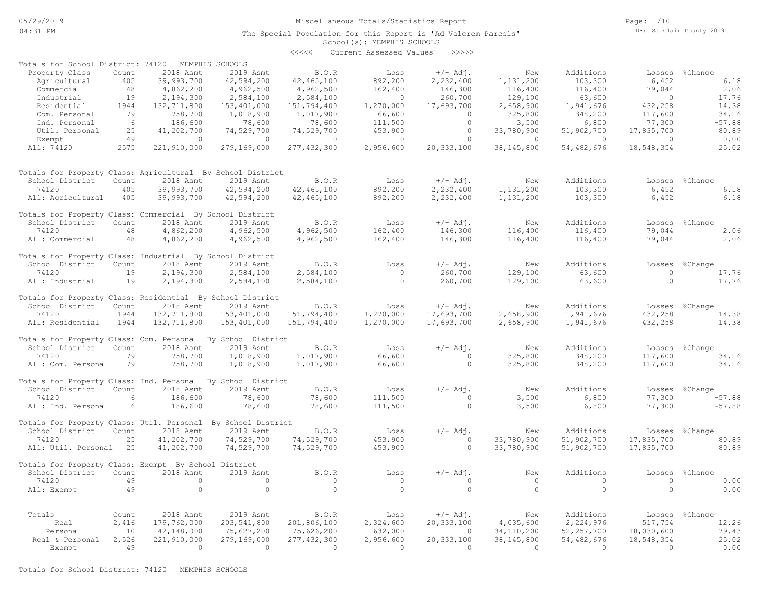#### Miscellaneous Totals/Statistics Report

The Special Population for this Report is 'Ad Valorem Parcels'

Page: 1/10 DB: St Clair County 2019

# School(s): MEMPHIS SCHOOLS <<<<< Current Assessed Values >>>>> Real & Personal 2,526 221,910,000 279,169,000 277,432,300 2,956,600 20,333,100 38,145,800 54,482,676 18,548,354 25.02 Personal 110 42,148,000 75,627,200 75,626,200 632,000 0 34,110,200 52,257,700 18,030,600 79.43 Real 2,416 179,762,000 203,541,800 201,806,100 2,324,600 20,333,100 4,035,600 2,224,976 517,754 12.26 Totals Count 2018 Asmt 2019 Asmt B.O.R Loss +/- Adj. New Additions Losses %Change All: Exempt 49 0 0 0 0 0 0 0 0 0.00 74120 49 0 0 0 0 0 0 0 0 0.00 School District Count 2018 Asmt 2019 Asmt B.O.R Loss +/-Adj. New Additions Losses %Change Totals for Property Class: Exempt By School District All: Util. Personal 25 41,202,700 74,529,700 74,529,700 453,900 0 33,780,900 51,902,700 17,835,700 80.89 74120 25 41,202,700 74,529,700 74,529,700 453,900 0 33,780,900 51,902,700 17,835,700 80.89 School District Count 2018 Asmt 2019 Asmt B.O.R Loss +/-Adj. New Additions Losses %Change Totals for Property Class: Util. Personal By School District All: Ind. Personal 6 186,600 78,600 78,600 111,500 0 3,500 6,800 77,300 -57.88 74120 6 186,600 78,600 78,600 111,500 0 3,500 6,800 77,300 -57.88 School District Count 2018 Asmt 2019 Asmt B.O.R Loss +/- Adj. New Additions Losses %Change<br>74120 6 186,600 78,600 78,600 111,500 0 3,500 6,800 77,300 -57.88 Totals for Property Class: Ind. Personal By School District All: Com. Personal 79 758,700 1,018,900 1,017,900 66,600 0 325,800 348,200 117,600 34.16 74120 79 758,700 1,018,900 1,017,900 66,600 0 325,800 348,200 117,600 34.16 School District Count 2018 Asmt 2019 Asmt B.O.R Loss +/- Adj. New Additions Losses %Change Totals for Property Class: Com. Personal By School District All: Residential 1944 132,711,800 153,401,000 151,794,400 1,270,000 17,693,700 2,658,900 1,941,676 432,258 14.38 74120 1944 132,711,800 153,401,000 151,794,400 1,270,000 17,693,700 2,658,900 1,941,676 432,258 14.38 School District Count 2018 Asmt 2019 Asmt B.O.R Loss +/- Adj. New Additions Losses %Change Totals for Property Class: Residential By School District All: Industrial 19 2,194,300 2,584,100 2,584,100 0 260,700 129,100 63,600 0 17.76 74120 19 2,194,300 2,584,100 2,584,100 0 260,700 129,100 63,600 0 17.76 School District Count 2018 Asmt 2019 Asmt B.O.R Loss +/-Adj. New Additions Losses %Change Totals for Property Class: Industrial By School District All: Commercial 48 4,862,200 4,962,500 4,962,500 162,400 146,300 116,400 116,400 79,044 2.06 74120 48 4,862,200 4,962,500 4,962,500 162,400 146,300 116,400 116,400 79,044 2.06 School District Count 2018 Asmt 2019 Asmt B.O.R Loss +/-Adj. New Additions Losses %Change Totals for Property Class: Commercial By School District All: Agricultural 405 39,993,700 42,594,200 42,465,100 892,200 2,232,400 1,131,200 103,300 6,452 6.18 74120 405 39,993,700 42,594,200 42,465,100 892,200 2,232,400 1,131,200 103,300 6,452 6.18 School District Count 2018 Asmt 2019 Asmt B.O.R Loss +/-Adj. New Additions Losses %Change Totals for Property Class: Agricultural By School District All: 74120 2575 221,910,000 279,169,000 277,432,300 2,956,600 20,333,100 38,145,800 54,482,676 18,548,354 25.02 Exempt 49 0 0 0 0 0 0 0 0 0.00 Util. Personal 25 41,202,700 74,529,700 74,529,700 453,900 0 33,780,900 51,902,700 17,835,700 80.89 Ind. Personal 6 186,600 78,600 78,600 111,500 0 3,500 6,800 77,300 -57.88 Com. Personal 79 758,700 1,018,900 1,017,900 66,600 0 325,800 348,200 117,600 34.16 Residential 1944 132,711,800 153,401,000 151,794,400 1,270,000 17,693,700 2,658,900 1,941,676 432,258 14.38 Industrial 19 2,194,300 2,584,100 2,584,100 0 260,700 129,100 63,600 0 17.76 Commercial 48 4,862,200 4,962,500 4,962,500 162,400 146,300 116,400 116,400 79,044 2.06 Agricultural 405 39,993,700 42,594,200 42,465,100 892,200 2,232,400 1,131,200 103,300 6,452 6.18 Property Class Count 2018 Asmt 2019 Asmt B.O.R Loss +/-Adj. New Additions Losses %Change Totals for School District: 74120 MEMPHIS SCHOOLS

Exempt 49 0 0 0 0 0 0 0 0 0.00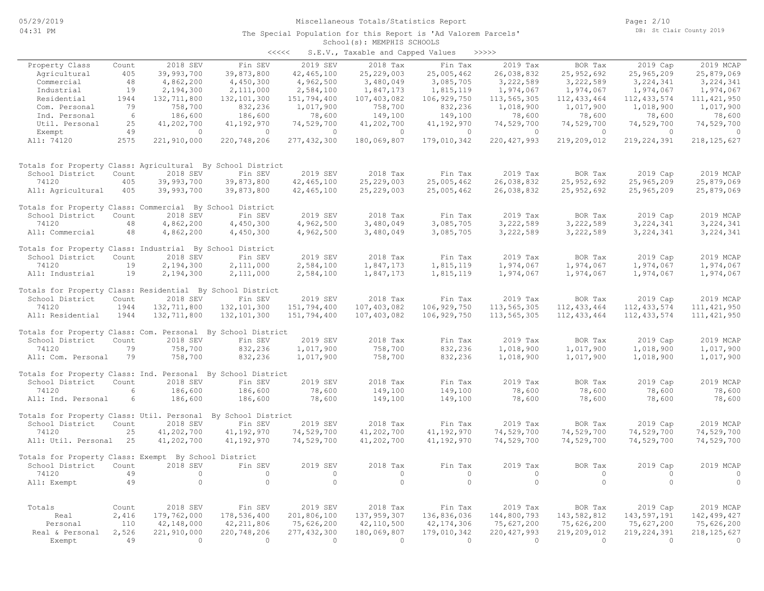| くくくくく | S.E.V., Taxable and Capped Values |  |  |  | >>>>> |
|-------|-----------------------------------|--|--|--|-------|
|-------|-----------------------------------|--|--|--|-------|

|                                                              |       |             |               |                | $5.2.77$ candidate and capped |               |               |                |                |                |
|--------------------------------------------------------------|-------|-------------|---------------|----------------|-------------------------------|---------------|---------------|----------------|----------------|----------------|
| Property Class                                               | Count | 2018 SEV    | Fin SEV       | 2019 SEV       | 2018 Tax                      | Fin Tax       | 2019 Tax      | BOR Tax        | 2019 Cap       | 2019 MCAP      |
| Agricultural                                                 | 405   | 39,993,700  | 39,873,800    | 42, 465, 100   | 25, 229, 003                  | 25,005,462    | 26,038,832    | 25,952,692     | 25,965,209     | 25,879,069     |
| Commercial                                                   | 48    | 4,862,200   | 4,450,300     | 4,962,500      | 3,480,049                     | 3,085,705     | 3,222,589     | 3,222,589      | 3, 224, 341    | 3, 224, 341    |
| Industrial                                                   | 19    | 2,194,300   | 2,111,000     | 2,584,100      | 1,847,173                     | 1,815,119     | 1,974,067     | 1,974,067      | 1,974,067      | 1,974,067      |
| Residential                                                  | 1944  | 132,711,800 | 132, 101, 300 | 151,794,400    | 107,403,082                   | 106, 929, 750 | 113,565,305   | 112, 433, 464  | 112, 433, 574  | 111, 421, 950  |
| Com. Personal                                                | 79    | 758,700     | 832,236       | 1,017,900      | 758,700                       | 832,236       | 1,018,900     | 1,017,900      | 1,018,900      | 1,017,900      |
| Ind. Personal                                                | 6     | 186,600     | 186,600       | 78,600         | 149,100                       | 149,100       | 78,600        | 78,600         | 78,600         | 78,600         |
| Util. Personal                                               | 25    | 41,202,700  | 41,192,970    | 74,529,700     | 41,202,700                    | 41,192,970    | 74,529,700    | 74,529,700     | 74,529,700     | 74,529,700     |
| Exempt                                                       | 49    | $\circ$     | $\circ$       | $\circ$        | $\circ$                       | $\circ$       | $\circ$       | $\overline{0}$ | $\overline{0}$ | $\overline{0}$ |
| All: 74120                                                   | 2575  | 221,910,000 | 220,748,206   | 277, 432, 300  | 180,069,807                   | 179,010,342   | 220, 427, 993 | 219,209,012    | 219, 224, 391  | 218, 125, 627  |
| Totals for Property Class: Agricultural By School District   |       |             |               |                |                               |               |               |                |                |                |
| School District                                              | Count | 2018 SEV    | Fin SEV       | 2019 SEV       | 2018 Tax                      | Fin Tax       | 2019 Tax      | BOR Tax        | 2019 Cap       | 2019 MCAP      |
| 74120                                                        | 405   | 39,993,700  | 39,873,800    | 42, 465, 100   | 25,229,003                    | 25,005,462    | 26,038,832    | 25,952,692     | 25,965,209     | 25,879,069     |
| All: Agricultural                                            | 405   | 39,993,700  | 39,873,800    | 42, 465, 100   | 25, 229, 003                  | 25,005,462    | 26,038,832    | 25,952,692     | 25,965,209     | 25,879,069     |
| Totals for Property Class: Commercial By School District     |       |             |               |                |                               |               |               |                |                |                |
| School District                                              | Count | 2018 SEV    | Fin SEV       | 2019 SEV       | 2018 Tax                      | Fin Tax       | 2019 Tax      | BOR Tax        | 2019 Cap       | 2019 MCAP      |
| 74120                                                        | 48    | 4,862,200   | 4,450,300     | 4,962,500      | 3,480,049                     | 3,085,705     | 3,222,589     | 3,222,589      | 3, 224, 341    | 3, 224, 341    |
| All: Commercial                                              | 48    | 4,862,200   | 4,450,300     | 4,962,500      | 3,480,049                     | 3,085,705     | 3,222,589     | 3,222,589      | 3,224,341      | 3, 224, 341    |
| Totals for Property Class: Industrial By School District     |       |             |               |                |                               |               |               |                |                |                |
| School District                                              | Count | 2018 SEV    | Fin SEV       | 2019 SEV       | 2018 Tax                      | Fin Tax       | 2019 Tax      | BOR Tax        | 2019 Cap       | 2019 MCAP      |
| 74120                                                        | 19    | 2,194,300   | 2,111,000     | 2,584,100      | 1,847,173                     | 1,815,119     | 1,974,067     | 1,974,067      | 1,974,067      | 1,974,067      |
| All: Industrial                                              | 19    | 2,194,300   | 2,111,000     | 2,584,100      | 1,847,173                     | 1,815,119     | 1,974,067     | 1,974,067      | 1,974,067      | 1,974,067      |
| Totals for Property Class: Residential By School District    |       |             |               |                |                               |               |               |                |                |                |
| School District                                              | Count | 2018 SEV    | Fin SEV       | 2019 SEV       | 2018 Tax                      | Fin Tax       | 2019 Tax      | BOR Tax        | 2019 Cap       | 2019 MCAP      |
| 74120                                                        | 1944  | 132,711,800 | 132,101,300   | 151,794,400    | 107,403,082                   | 106,929,750   | 113,565,305   | 112, 433, 464  | 112, 433, 574  | 111, 421, 950  |
| All: Residential                                             | 1944  | 132,711,800 | 132, 101, 300 | 151,794,400    | 107,403,082                   | 106,929,750   | 113,565,305   | 112, 433, 464  | 112, 433, 574  | 111, 421, 950  |
| Totals for Property Class: Com. Personal By School District  |       |             |               |                |                               |               |               |                |                |                |
| School District                                              | Count | 2018 SEV    | Fin SEV       | 2019 SEV       | 2018 Tax                      | Fin Tax       | 2019 Tax      | BOR Tax        | 2019 Cap       | 2019 MCAP      |
| 74120                                                        | 79    | 758,700     | 832,236       | 1,017,900      | 758,700                       | 832,236       | 1,018,900     | 1,017,900      | 1,018,900      | 1,017,900      |
| All: Com. Personal                                           | 79    | 758,700     | 832,236       | 1,017,900      | 758,700                       | 832,236       | 1,018,900     | 1,017,900      | 1,018,900      | 1,017,900      |
| Totals for Property Class: Ind. Personal By School District  |       |             |               |                |                               |               |               |                |                |                |
| School District                                              | Count | 2018 SEV    | Fin SEV       | 2019 SEV       | 2018 Tax                      | Fin Tax       | 2019 Tax      | BOR Tax        | 2019 Cap       | 2019 MCAP      |
| 74120                                                        | 6     | 186,600     | 186,600       | 78,600         | 149,100                       | 149,100       | 78,600        | 78,600         | 78,600         | 78,600         |
| All: Ind. Personal                                           | 6     | 186,600     | 186,600       | 78,600         | 149,100                       | 149,100       | 78,600        | 78,600         | 78,600         | 78,600         |
| Totals for Property Class: Util. Personal By School District |       |             |               |                |                               |               |               |                |                |                |
| School District                                              | Count | 2018 SEV    | Fin SEV       | 2019 SEV       | 2018 Tax                      | Fin Tax       | 2019 Tax      | BOR Tax        | 2019 Cap       | 2019 MCAP      |
| 74120                                                        | 25    | 41,202,700  | 41,192,970    | 74,529,700     | 41,202,700                    | 41,192,970    | 74,529,700    | 74,529,700     | 74,529,700     | 74,529,700     |
| All: Util. Personal                                          | 25    | 41,202,700  | 41,192,970    | 74,529,700     | 41,202,700                    | 41,192,970    | 74,529,700    | 74,529,700     | 74,529,700     | 74,529,700     |
| Totals for Property Class: Exempt By School District         |       |             |               |                |                               |               |               |                |                |                |
| School District                                              | Count | 2018 SEV    | Fin SEV       | 2019 SEV       | 2018 Tax                      | Fin Tax       | 2019 Tax      | BOR Tax        | 2019 Cap       | 2019 MCAP      |
| 74120                                                        | 49    | $\circ$     | $\circ$       | $\circ$        | $\circ$                       | $\circ$       | $\circ$       | $\circ$        | $\circ$        | $\overline{0}$ |
| All: Exempt                                                  | 49    | $\circ$     | $\circ$       | $\circ$        | $\circ$                       | $\circ$       | $\circ$       | $\circ$        | $\circ$        | $\Omega$       |
| Totals                                                       | Count | 2018 SEV    | Fin SEV       | 2019 SEV       | 2018 Tax                      | Fin Tax       | 2019 Tax      | BOR Tax        | 2019 Cap       | 2019 MCAP      |
| Real                                                         | 2,416 | 179,762,000 | 178,536,400   | 201,806,100    | 137,959,307                   | 136,836,036   | 144,800,793   | 143,582,812    | 143,597,191    | 142,499,427    |
| Personal                                                     | 110   | 42,148,000  | 42, 211, 806  | 75,626,200     | 42,110,500                    | 42, 174, 306  | 75,627,200    | 75,626,200     | 75,627,200     | 75,626,200     |
| Real & Personal                                              | 2,526 | 221,910,000 | 220,748,206   | 277, 432, 300  | 180,069,807                   | 179,010,342   | 220, 427, 993 | 219,209,012    | 219, 224, 391  | 218, 125, 627  |
| Exempt                                                       | 49    | $\Omega$    | $\bigcirc$    | $\overline{0}$ | $\bigcirc$                    | $\Omega$      | $\Omega$      | $\bigcirc$     | $\Omega$       | $\bigcirc$     |
|                                                              |       |             |               |                |                               |               |               |                |                |                |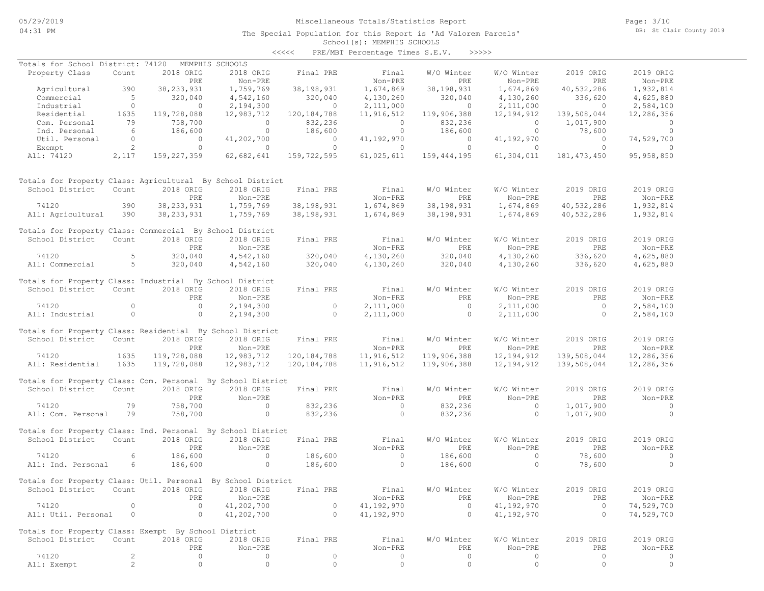## Miscellaneous Totals/Statistics Report

The Special Population for this Report is 'Ad Valorem Parcels'

Page: 3/10 DB: St Clair County 2019

#### School(s): MEMPHIS SCHOOLS <<<<< PRE/MBT Percentage Times S.E.V. >>>>>

| Totals for School District: 74120                                            |                   |                     | MEMPHIS SCHOOLS      |                |                      |                            |                          |                   |                      |
|------------------------------------------------------------------------------|-------------------|---------------------|----------------------|----------------|----------------------|----------------------------|--------------------------|-------------------|----------------------|
| Property Class                                                               | Count             | 2018 ORIG           | 2018 ORIG            | Final PRE      | Final                | W/O Winter                 | W/O Winter               | 2019 ORIG         | 2019 ORIG            |
| Agricultural                                                                 | 390               | PRE<br>38, 233, 931 | Non-PRE<br>1,759,769 | 38, 198, 931   | Non-PRE<br>1,674,869 | <b>PRE</b><br>38, 198, 931 | Non-PRE<br>1,674,869     | PRE<br>40,532,286 | Non-PRE<br>1,932,814 |
| Commercial                                                                   | $5^{\circ}$       | 320,040             | 4,542,160            | 320,040        | 4,130,260            | 320,040                    | 4,130,260                | 336,620           | 4,625,880            |
| Industrial                                                                   | $\overline{0}$    | $\sim$ 0            | 2,194,300            | $\overline{0}$ | 2,111,000            | $\overline{0}$             | 2,111,000                | $\overline{0}$    | 2,584,100            |
| Residential                                                                  | 1635              | 119,728,088         | 12,983,712           | 120, 184, 788  | 11,916,512           | 119,906,388                | 12, 194, 912             | 139,508,044       | 12,286,356           |
| Com. Personal                                                                | 79                | 758,700             | $\overline{0}$       | 832,236        | $\overline{0}$       | 832,236                    | $\overline{0}$           | 1,017,900         | $\overline{0}$       |
| Ind. Personal                                                                | 6                 | 186,600             | $\overline{0}$       | 186,600        | $\overline{0}$       | 186,600                    | $\circ$                  | 78,600            | $\overline{0}$       |
| Util. Personal                                                               | $\circ$           | $\circ$             | 41,202,700           | $\circ$        | 41,192,970           | $\circ$                    | 41,192,970               | $\circ$           | 74,529,700           |
| Exempt                                                                       | 2                 | $\circ$             | $\Omega$             | $\circ$        | $\circ$              | $\circ$                    | $\circ$                  | $\circ$           | $\Omega$             |
| All: 74120                                                                   | 2,117             | 159,227,359         | 62,682,641           | 159,722,595    | 61,025,611           | 159, 444, 195              | 61,304,011               | 181, 473, 450     | 95, 958, 850         |
| Totals for Property Class: Agricultural By School District                   |                   |                     |                      |                |                      |                            |                          |                   |                      |
| School District                                                              | Count             | 2018 ORIG           | 2018 ORIG            | Final PRE      | Final                | W/O Winter                 | W/O Winter               | 2019 ORIG         | 2019 ORIG            |
|                                                                              |                   | PRE                 | Non-PRE              |                | Non-PRE              | <b>PRE</b>                 | Non-PRE                  | <b>PRE</b>        | Non-PRE              |
| 74120                                                                        | 390               | 38, 233, 931        | 1,759,769            | 38,198,931     | 1,674,869            | 38,198,931                 | 1,674,869                | 40,532,286        | 1,932,814            |
| All: Agricultural                                                            | 390               | 38, 233, 931        | 1,759,769            | 38,198,931     | 1,674,869            | 38,198,931                 | 1,674,869                | 40,532,286        | 1,932,814            |
| Totals for Property Class: Commercial By School District                     |                   |                     |                      |                |                      |                            |                          |                   |                      |
| School District                                                              | Count             | 2018 ORIG           | 2018 ORIG            | Final PRE      | Final                | W/O Winter                 | W/O Winter               | 2019 ORIG         | 2019 ORIG            |
|                                                                              |                   | PRE                 | Non-PRE              |                | Non-PRE              | PRE                        | Non-PRE                  | PRE               | Non-PRE              |
| 74120                                                                        | 5                 | 320,040             | 4,542,160            | 320,040        | 4,130,260            | 320,040                    | 4,130,260                | 336,620           | 4,625,880            |
| All: Commercial                                                              | $5^{\circ}$       | 320,040             | 4,542,160            | 320,040        | 4,130,260            | 320,040                    | 4,130,260                | 336,620           | 4,625,880            |
| Totals for Property Class: Industrial By School District                     |                   |                     |                      |                |                      |                            |                          |                   |                      |
| School District                                                              | Count             | 2018 ORIG           | 2018 ORIG            | Final PRE      | Final                | W/O Winter                 | W/O Winter               | 2019 ORIG         | 2019 ORIG            |
|                                                                              |                   | PRE                 | Non-PRE              |                | Non-PRE              | <b>PRE</b>                 | Non-PRE                  | PRE               | Non-PRE              |
| 74120                                                                        | $\circ$           | $\circ$             | 2,194,300            | $\circ$        | 2,111,000            | $\circ$                    | 2,111,000                | $\circ$           | 2,584,100            |
| All: Industrial                                                              | $\circ$           | $\circ$             | 2,194,300            | $\circ$        | 2,111,000            | $\circ$                    | 2,111,000                | $\Omega$          | 2,584,100            |
|                                                                              |                   |                     |                      |                |                      |                            |                          |                   |                      |
| Totals for Property Class: Residential By School District<br>School District | Count             | 2018 ORIG           | 2018 ORIG            | Final PRE      | Final                | W/O Winter                 | W/O Winter               | 2019 ORIG         | 2019 ORIG            |
|                                                                              |                   | PRE                 | Non-PRE              |                | Non-PRE              | <b>PRE</b>                 | Non-PRE                  | PRE               | Non-PRE              |
| 74120                                                                        | 1635              | 119,728,088         | 12,983,712           | 120, 184, 788  | 11,916,512           | 119,906,388                | 12, 194, 912             | 139,508,044       | 12,286,356           |
| All: Residential                                                             | 1635              | 119,728,088         | 12,983,712           | 120, 184, 788  | 11,916,512           | 119,906,388                | 12, 194, 912             | 139,508,044       | 12,286,356           |
|                                                                              |                   |                     |                      |                |                      |                            |                          |                   |                      |
| Totals for Property Class: Com. Personal By School District                  |                   |                     |                      |                |                      |                            |                          |                   |                      |
| School District                                                              | Count             | 2018 ORIG           | 2018 ORIG            | Final PRE      | Final                | W/O Winter                 | W/O Winter               | 2019 ORIG         | 2019 ORIG            |
|                                                                              |                   | <b>PRE</b>          | Non-PRE              |                | Non-PRE              | <b>PRE</b>                 | Non-PRE                  | PRE               | Non-PRE              |
| 74120<br>All: Com. Personal                                                  | 79<br>79          | 758,700             | $\circ$<br>$\circ$   | 832,236        | $\circ$<br>$\circ$   | 832,236                    | $\circ$<br>$\circ$       | 1,017,900         | $\circ$<br>$\circ$   |
|                                                                              |                   | 758,700             |                      | 832,236        |                      | 832,236                    |                          | 1,017,900         |                      |
| Totals for Property Class: Ind. Personal By School District                  |                   |                     |                      |                |                      |                            |                          |                   |                      |
| School District                                                              | Count             | 2018 ORIG           | 2018 ORIG            | Final PRE      | Final                | W/O Winter                 | W/O Winter               | 2019 ORIG         | 2019 ORIG            |
|                                                                              |                   | PRE                 | Non-PRE              |                | Non-PRE              | PRE                        | Non-PRE                  | PRE               | Non-PRE              |
| 74120                                                                        | 6                 | 186,600             | $\circ$              | 186,600        | $\overline{0}$       | 186,600                    | $\circ$                  | 78,600            | $\overline{0}$       |
| All: Ind. Personal                                                           | 6                 | 186,600             | $\circ$              | 186,600        | $\overline{0}$       | 186,600                    | $\circ$                  | 78,600            | $\Omega$             |
| Totals for Property Class: Util. Personal By School District                 |                   |                     |                      |                |                      |                            |                          |                   |                      |
| School District                                                              | Count             | 2018 ORIG           | 2018 ORIG            | Final PRE      | Final                | W/O Winter                 | W/O Winter               | 2019 ORIG         | 2019 ORIG            |
|                                                                              |                   | PRE                 | Non-PRE              |                | Non-PRE              | PRE                        | Non-PRE                  | PRE               | Non-PRE              |
| 74120                                                                        | $\circ$           | $\circ$             | 41,202,700           | $\circ$        | 41,192,970           | $\circ$                    | 41,192,970               | $\circ$           | 74,529,700           |
| All: Util. Personal                                                          | $\circ$           | $\circ$             | 41,202,700           | $\circ$        | 41,192,970           | $\circ$                    | 41,192,970               | $\circ$           | 74,529,700           |
|                                                                              |                   |                     |                      |                |                      |                            |                          |                   |                      |
| Totals for Property Class: Exempt By School District                         |                   |                     |                      |                |                      |                            |                          |                   |                      |
| School District                                                              | Count             | 2018 ORIG           | 2018 ORIG            | Final PRE      | Final                | W/O Winter                 | W/O Winter               | 2019 ORIG         | 2019 ORIG            |
|                                                                              |                   | PRE                 | Non-PRE              |                | Non-PRE              | PRE                        | Non-PRE                  | PRE               | Non-PRE              |
| 74120<br>All: Exempt                                                         | 2<br>$\mathbf{2}$ | $\circ$<br>$\circ$  | 0<br>$\mathbb O$     | 0<br>$\circ$   | 0<br>$\circ$         | $\circ$<br>$\circ$         | 0<br>$\mathsf{O}\xspace$ | 0<br>0            | 0<br>0               |
|                                                                              |                   |                     |                      |                |                      |                            |                          |                   |                      |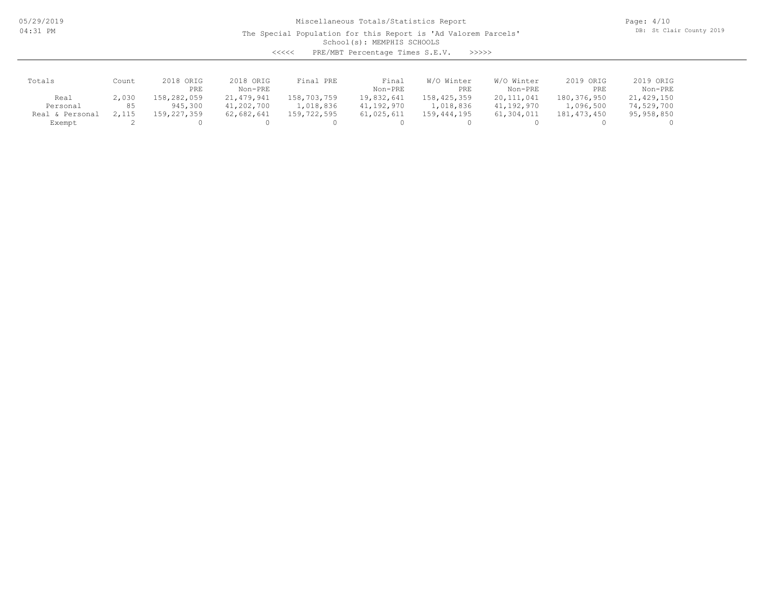05/29/2019 04:31 PM

## Miscellaneous Totals/Statistics Report

The Special Population for this Report is 'Ad Valorem Parcels'

Page: 4/10 DB: St Clair County 2019

School(s): MEMPHIS SCHOOLS

<<<<< PRE/MBT Percentage Times S.E.V. >>>>>

| Totals             | Count | 2018 ORIG   | 2018 ORIG    | Final PRE   | Final      | W/O Winter    | W/O Winter   | 2019 ORIG   | 2019 ORIG  |
|--------------------|-------|-------------|--------------|-------------|------------|---------------|--------------|-------------|------------|
|                    |       | PRE         | Non-PRE      |             | Non-PRE    | PRE           | Non-PRE      | PRE         | Non-PRE    |
| Real               | 2,030 | 158,282,059 | 21, 479, 941 | 158,703,759 | 19,832,641 | 158,425,359   | 20, 111, 041 | 180,376,950 | 21,429,150 |
| Personal           | 85    | 945,300     | 41,202,700   | 1,018,836   | 41,192,970 | 1,018,836     | 41,192,970   | 1,096,500   | 74,529,700 |
| Personal<br>Real & | 2,115 | 159,227,359 | 62,682,641   | 159,722,595 | 61,025,611 | 159, 444, 195 | 61,304,011   | 181,473,450 | 95,958,850 |
| Exempt             |       |             |              |             |            |               |              |             |            |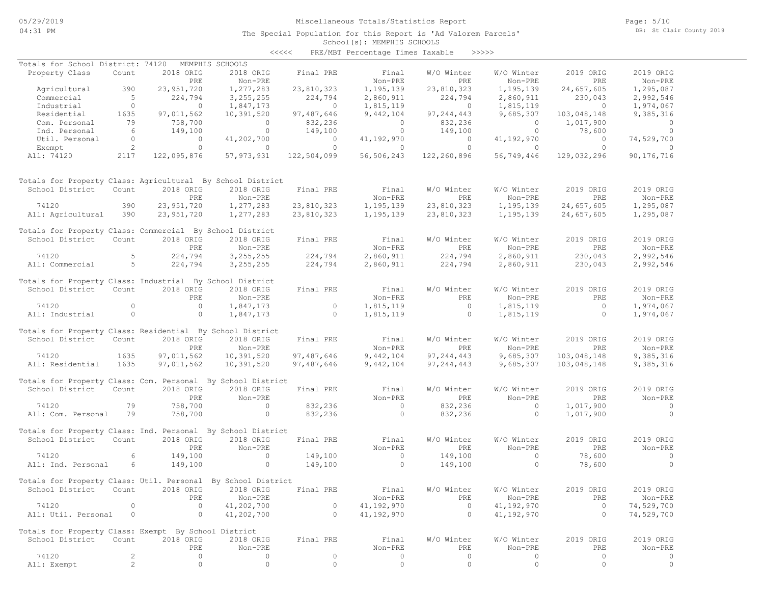## Miscellaneous Totals/Statistics Report

The Special Population for this Report is 'Ad Valorem Parcels'

School(s): MEMPHIS SCHOOLS <<<<< PRE/MBT Percentage Times Taxable >>>>>

|                                                              |                 |              |                     |                     | Ind/mbi rerechtuge iimee runubie |                |                |                |                |
|--------------------------------------------------------------|-----------------|--------------|---------------------|---------------------|----------------------------------|----------------|----------------|----------------|----------------|
| Totals for School District: 74120                            |                 |              | MEMPHIS SCHOOLS     |                     |                                  |                |                |                |                |
| Property Class                                               | Count           | 2018 ORIG    | 2018 ORIG           | Final PRE           | Final                            | W/O Winter     | W/O Winter     | 2019 ORIG      | 2019 ORIG      |
|                                                              |                 | <b>PRE</b>   | Non-PRE             |                     | Non-PRE                          | <b>PRE</b>     | Non-PRE        | PRE            | Non-PRE        |
| Agricultural                                                 | 390             | 23, 951, 720 | 1,277,283           | 23,810,323          | 1,195,139                        | 23,810,323     | 1,195,139      | 24,657,605     | 1,295,087      |
| Commercial                                                   | $5^{\circ}$     | 224,794      | 3, 255, 255         | 224,794             | 2,860,911                        | 224,794        | 2,860,911      | 230,043        | 2,992,546      |
| Industrial                                                   | $\circ$         | $\circ$      | 1,847,173           | $\circ$             | 1,815,119                        | $\circ$        | 1,815,119      | $\circ$        | 1,974,067      |
| Residential                                                  | 1635            | 97,011,562   | 10,391,520          | 97, 487, 646        | 9,442,104                        | 97, 244, 443   | 9,685,307      | 103,048,148    | 9,385,316      |
| Com. Personal                                                | 79              | 758,700      | $\circ$             | 832,236             | $\overline{0}$                   | 832,236        | $\overline{0}$ | 1,017,900      | $\overline{0}$ |
| Ind. Personal                                                | $6\overline{6}$ | 149,100      | $\circ$             | 149,100             | $\overline{0}$                   | 149,100        | $\overline{0}$ | 78,600         | $\overline{0}$ |
| Util. Personal                                               | $\overline{0}$  | $\circ$      | 41,202,700          | $\circ$             | 41,192,970                       | $\overline{0}$ | 41,192,970     | $\circ$        | 74,529,700     |
| Exempt                                                       | 2               | $\circ$      | $\overline{0}$      | $\circ$             | $\circ$                          | $\circ$        | $\overline{0}$ | $\circ$        | $\circ$        |
| All: 74120                                                   | 2117            | 122,095,876  | 57, 973, 931        | 122,504,099         | 56,506,243                       | 122,260,896    | 56,749,446     | 129,032,296    | 90, 176, 716   |
| Totals for Property Class: Agricultural By School District   |                 |              |                     |                     |                                  |                |                |                |                |
| School District                                              | Count           | 2018 ORIG    | 2018 ORIG           | Final PRE           | Final                            | W/O Winter     | W/O Winter     | 2019 ORIG      | 2019 ORIG      |
|                                                              |                 | PRE          | Non-PRE             |                     | Non-PRE                          | PRE            | Non-PRE        | PRE            | Non-PRE        |
|                                                              |                 |              |                     |                     |                                  |                |                |                |                |
| 74120                                                        | 390             | 23,951,720   | 1,277,283           | 23,810,323          | 1,195,139                        | 23,810,323     | 1,195,139      | 24,657,605     | 1,295,087      |
| All: Agricultural                                            | 390             | 23,951,720   | 1,277,283           | 23,810,323          | 1,195,139                        | 23,810,323     | 1,195,139      | 24,657,605     | 1,295,087      |
| Totals for Property Class: Commercial By School District     |                 |              |                     |                     |                                  |                |                |                |                |
| School District                                              | Count           | 2018 ORIG    | 2018 ORIG           | Final PRE           | Final                            | W/O Winter     | W/O Winter     | 2019 ORIG      | 2019 ORIG      |
|                                                              |                 | <b>PRE</b>   | Non-PRE             |                     | Non-PRE                          | PRE            | Non-PRE        | PRE            | Non-PRE        |
| 74120                                                        | 5               | 224,794      | 3, 255, 255         | 224,794             | 2,860,911                        | 224,794        | 2,860,911      | 230,043        | 2,992,546      |
| All: Commercial                                              | $5^{\circ}$     | 224,794      | 3,255,255           | 224,794             | 2,860,911                        | 224,794        | 2,860,911      | 230,043        | 2,992,546      |
| Totals for Property Class: Industrial By School District     |                 |              |                     |                     |                                  |                |                |                |                |
| School District                                              | Count           | 2018 ORIG    | 2018 ORIG           | Final PRE           | Final                            | W/O Winter     | W/O Winter     | 2019 ORIG      | 2019 ORIG      |
|                                                              |                 | PRE          | Non-PRE             |                     | Non-PRE                          | PRE            | Non-PRE        | PRE            | Non-PRE        |
| 74120                                                        | $\circ$         | $\circ$      | 1,847,173           | $\circ$             | 1,815,119                        | $\overline{0}$ | 1,815,119      | $\overline{0}$ | 1,974,067      |
| All: Industrial                                              | $\circ$         | $\circ$      | 1,847,173           | $\circ$             | 1,815,119                        | $\circ$        | 1,815,119      | $\circ$        | 1,974,067      |
|                                                              |                 |              |                     |                     |                                  |                |                |                |                |
| Totals for Property Class: Residential By School District    |                 |              |                     |                     |                                  |                |                |                |                |
| School District                                              | Count           | 2018 ORIG    | 2018 ORIG           | Final PRE           | Final                            | W/O Winter     | W/O Winter     | 2019 ORIG      | 2019 ORIG      |
|                                                              |                 | PRE          | Non-PRE             |                     | Non-PRE                          | PRE            | Non-PRE        | PRE            | Non-PRE        |
| 74120                                                        | 1635            | 97,011,562   | 10,391,520          | 97,487,646          | 9,442,104                        | 97, 244, 443   | 9,685,307      | 103,048,148    | 9,385,316      |
| All: Residential                                             | 1635            | 97,011,562   | 10,391,520          | 97,487,646          | 9,442,104                        | 97, 244, 443   | 9,685,307      | 103,048,148    | 9,385,316      |
| Totals for Property Class: Com. Personal By School District  |                 |              |                     |                     |                                  |                |                |                |                |
| School District                                              | Count           | 2018 ORIG    | 2018 ORIG           | Final PRE           | Final                            | W/O Winter     | W/O Winter     | 2019 ORIG      | 2019 ORIG      |
|                                                              |                 | PRE          | Non-PRE             |                     | Non-PRE                          | <b>PRE</b>     | Non-PRE        | PRE            | Non-PRE        |
| 74120                                                        | 79              | 758,700      | $\circ$             | 832,236             | $\overline{0}$                   | 832,236        | $\circ$        | 1,017,900      | $\circ$        |
| All: Com. Personal                                           | 79              | 758,700      | $\circ$             | 832,236             | $\circ$                          | 832,236        | $\circ$        | 1,017,900      | $\circ$        |
|                                                              |                 |              |                     |                     |                                  |                |                |                |                |
| Totals for Property Class: Ind. Personal By School District  |                 |              |                     |                     |                                  |                |                |                |                |
| School District                                              | Count           | 2018 ORIG    | 2018 ORIG           | Final PRE           | Final                            | W/O Winter     | W/O Winter     | 2019 ORIG      | 2019 ORIG      |
|                                                              |                 | PRE          | Non-PRE             |                     | Non-PRE                          | PRE            | Non-PRE        | PRE            | Non-PRE        |
| 74120                                                        | 6               | 149,100      | $\circ$             | 149,100             | $\overline{0}$                   | 149,100        | $\circ$        | 78,600         | $\circ$        |
| All: Ind. Personal                                           | 6               | 149,100      | $\circ$             | 149,100             | $\overline{0}$                   | 149,100        | $\circ$        | 78,600         | $\overline{0}$ |
|                                                              |                 |              |                     |                     |                                  |                |                |                |                |
| Totals for Property Class: Util. Personal By School District |                 |              |                     |                     |                                  |                |                |                |                |
| School District                                              | Count           | 2018 ORIG    | 2018 ORIG           | Final PRE           | Final                            | W/O Winter     | W/O Winter     | 2019 ORIG      | 2019 ORIG      |
|                                                              |                 | PRE          | Non-PRE             |                     | Non-PRE                          | PRE            | Non-PRE        | PRE            | Non-PRE        |
| 74120                                                        | $\circ$         | $\circ$      | 41,202,700          | 0                   | 41,192,970                       | $\circ$        | 41, 192, 970   | $\circ$        | 74,529,700     |
| All: Util. Personal                                          | $\circ$         | $\circ$      | 41,202,700          | $\circ$             | 41,192,970                       | $\circ$        | 41,192,970     | $\circ$        | 74,529,700     |
| Totals for Property Class: Exempt By School District         |                 |              |                     |                     |                                  |                |                |                |                |
| School District                                              | Count           | 2018 ORIG    | 2018 ORIG           | Final PRE           | Final                            | W/O Winter     | W/O Winter     | 2019 ORIG      | 2019 ORIG      |
|                                                              |                 | PRE          | Non-PRE             |                     | Non-PRE                          | PRE            | Non-PRE        | PRE            | Non-PRE        |
| 74120                                                        | $\overline{c}$  | 0            | 0                   | $\circ$             | 0                                | 0              | 0              | $\circ$        | 0              |
| All: Exempt                                                  | $\overline{2}$  | $\circ$      | $\mathsf{O}\xspace$ | $\mathsf{O}\xspace$ | $\circ$                          | $\circ$        | $\circ$        | $\circ$        | $\circ$        |
|                                                              |                 |              |                     |                     |                                  |                |                |                |                |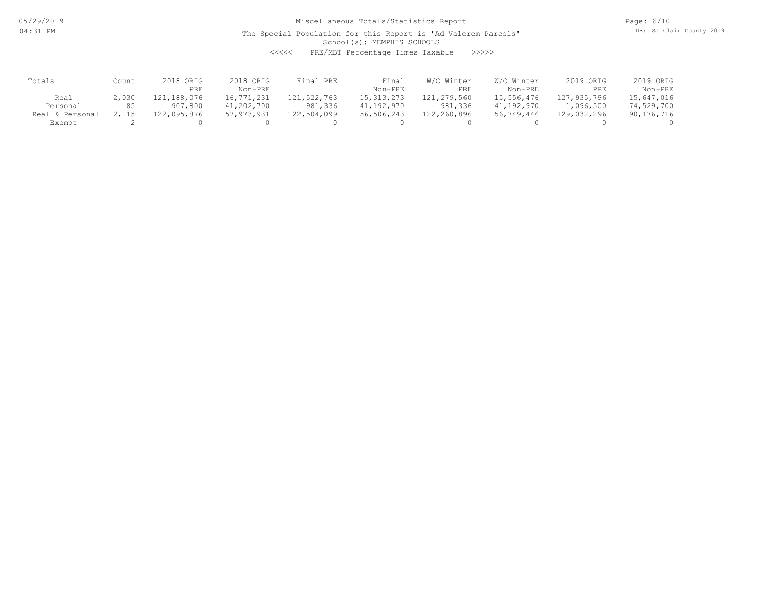05/29/2019 04:31 PM

## Miscellaneous Totals/Statistics Report

The Special Population for this Report is 'Ad Valorem Parcels'

Page: 6/10 DB: St Clair County 2019

School(s): MEMPHIS SCHOOLS

<<<<< PRE/MBT Percentage Times Taxable >>>>>

| Totals          | Count | 2018 ORIG<br>PRE | 2018 ORIG<br>Non-PRE | Final PRE   | Final<br>Non-PRE | W/O Winter<br>PRE | W/O Winter<br>Non-PRE | 2019 ORIG<br>PRE | 2019 ORIG<br>Non-PRE |
|-----------------|-------|------------------|----------------------|-------------|------------------|-------------------|-----------------------|------------------|----------------------|
| Real            | 2,030 | 121,188,076      | 16,771,231           | 121,522,763 | 15, 313, 273     | 121,279,560       | 15,556,476            | 127,935,796      | 15,647,016           |
| Personal        | 85    | 907,800          | 41,202,700           | 981,336     | 41,192,970       | 981,336           | 41,192,970            | 1,096,500        | 74,529,700           |
| Real & Personal | 2,115 | 122,095,876      | 57, 973, 931         | 122,504,099 | 56,506,243       | 122,260,896       | 56,749,446            | 129,032,296      | 90,176,716           |
| Exempt          |       |                  |                      |             |                  |                   |                       |                  |                      |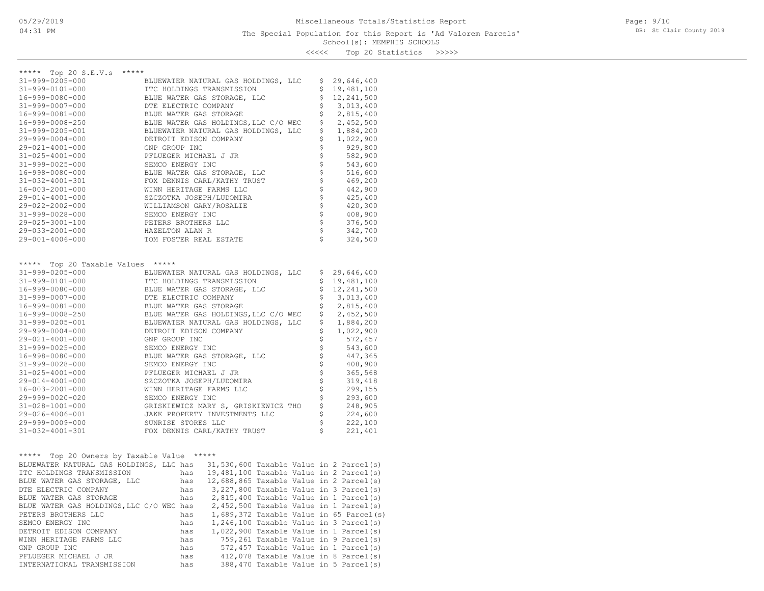Page: 9/10 DB: St Clair County 2019

<<<<< Top 20 Statistics >>>>>

| ***** Top 20 S.E.V.s *****                 |                                                                                 |                      |                        |
|--------------------------------------------|---------------------------------------------------------------------------------|----------------------|------------------------|
| 31-999-0205-000                            | BLUEWATER NATURAL GAS HOLDINGS, LLC                                             | \$                   | 29,646,400             |
| 31-999-0101-000                            | ITC HOLDINGS TRANSMISSION                                                       | \$                   | 19,481,100             |
| 16-999-0080-000                            | BLUE WATER GAS STORAGE, LLC                                                     | \$                   | 12,241,500             |
| 31-999-0007-000                            | DTE ELECTRIC COMPANY                                                            | \$                   | 3,013,400              |
| 16-999-0081-000                            | BLUE WATER GAS STORAGE                                                          | \$                   | 2,815,400              |
| 16-999-0008-250                            | BLUE WATER GAS HOLDINGS, LLC C/O WEC                                            | \$                   | 2,452,500              |
| 31-999-0205-001                            | BLUEWATER NATURAL GAS HOLDINGS, LLC                                             | \$                   | 1,884,200              |
| $29 - 999 - 0004 - 000$                    | DETROIT EDISON COMPANY                                                          | \$                   | 1,022,900              |
| 29-021-4001-000                            | GNP GROUP INC                                                                   | \$                   | 929,800                |
| $31 - 025 - 4001 - 000$                    | PFLUEGER MICHAEL J JR                                                           |                      | 582,900                |
| $31 - 999 - 0025 - 000$                    | SEMCO ENERGY INC                                                                |                      | 543,600                |
| 16-998-0080-000                            | BLUE WATER GAS STORAGE, LLC                                                     | \$\$\$\$\$\$\$\$\$\$ | 516,600                |
| 31-032-4001-301                            | FOX DENNIS CARL/KATHY TRUST                                                     |                      | 469,200                |
| 16-003-2001-000                            | WINN HERITAGE FARMS LLC                                                         |                      | 442,900                |
| 29-014-4001-000                            | SZCZOTKA JOSEPH/LUDOMIRA                                                        |                      | 425,400                |
| 29-022-2002-000                            | WILLIAMSON GARY/ROSALIE                                                         |                      | 420,300                |
| $31 - 999 - 0028 - 000$                    | SEMCO ENERGY INC                                                                | \$                   | 408,900                |
| 29-025-3001-100                            | PETERS BROTHERS LLC                                                             | \$                   | 376,500                |
| 29-033-2001-000                            | HAZELTON ALAN R                                                                 | \$                   | 342,700                |
| 29-001-4006-000                            | TOM FOSTER REAL ESTATE                                                          | Ś                    | 324,500                |
|                                            |                                                                                 |                      |                        |
| ***** Top 20 Taxable Values *****          |                                                                                 |                      |                        |
| 31-999-0205-000                            | BLUEWATER NATURAL GAS HOLDINGS, LLC                                             | Ş                    | 29,646,400             |
| 31-999-0101-000                            | ITC HOLDINGS TRANSMISSION                                                       | \$                   | 19,481,100             |
| 16-999-0080-000                            | BLUE WATER GAS STORAGE, LLC                                                     | \$                   | 12,241,500             |
| 31-999-0007-000                            | DTE ELECTRIC COMPANY                                                            | \$                   | 3,013,400              |
| 16-999-0081-000                            | BLUE WATER GAS STORAGE                                                          | \$<br>\$             | 2,815,400<br>2,452,500 |
| 16-999-0008-250<br>31-999-0205-001         | BLUE WATER GAS HOLDINGS, LLC C/O WEC<br>BLUEWATER NATURAL GAS HOLDINGS, LLC     | \$                   | 1,884,200              |
| $29 - 999 - 0004 - 000$                    | DETROIT EDISON COMPANY                                                          | \$                   | 1,022,900              |
| 29-021-4001-000                            | GNP GROUP INC                                                                   | \$                   | 572,457                |
| 31-999-0025-000                            | SEMCO ENERGY INC                                                                |                      | 543,600                |
| 16-998-0080-000                            | BLUE WATER GAS STORAGE, LLC                                                     | \$                   | 447,365                |
| 31-999-0028-000                            | SEMCO ENERGY INC                                                                |                      | 408,900                |
| $31 - 025 - 4001 - 000$                    | PFLUEGER MICHAEL J JR                                                           |                      | 365,568                |
| 29-014-4001-000                            | SZCZOTKA JOSEPH/LUDOMIRA                                                        |                      | 319,418                |
| 16-003-2001-000                            | WINN HERITAGE FARMS LLC                                                         | さささ                  | 299,155                |
| 29-999-0020-020                            | SEMCO ENERGY INC                                                                | \$                   | 293,600                |
| $31 - 028 - 1001 - 000$                    | GRISKIEWICZ MARY S, GRISKIEWICZ THO                                             | \$                   | 248,905                |
| 29-026-4006-001                            | JAKK PROPERTY INVESTMENTS LLC                                                   | \$                   | 224,600                |
| 29-999-0009-000                            | SUNRISE STORES LLC                                                              | \$                   | 222,100                |
| 31-032-4001-301                            | FOX DENNIS CARL/KATHY TRUST                                                     | \$                   | 221,401                |
|                                            |                                                                                 |                      |                        |
| ***** Top 20 Owners by Taxable Value ***** |                                                                                 |                      |                        |
|                                            | BLUEWATER NATURAL GAS HOLDINGS, LLC has 31,530,600 Taxable Value in 2 Parcel(s) |                      |                        |
| ITC HOLDINGS TRANSMISSION                  | has 19,481,100 Taxable Value in 2 Parcel(s)                                     |                      |                        |
| BLUE WATER GAS STORAGE, LLC                | has 12,688,865 Taxable Value in 2 Parcel(s)                                     |                      |                        |
| DTE ELECTRIC COMPANY                       | 3,227,800 Taxable Value in 3 Parcel(s)<br>has                                   |                      |                        |
| BLUE WATER GAS STORAGE                     | 2,815,400 Taxable Value in 1 Parcel(s)<br>has                                   |                      |                        |
| BLUE WATER GAS HOLDINGS, LLC C/O WEC has   | $2,452,500$ Taxable Value in 1 Parcel(s)                                        |                      |                        |
| PETERS BROTHERS LLC                        | 1,689,372 Taxable Value in 65 Parcel(s)<br>has                                  |                      |                        |
| SEMCO ENERGY INC                           | 1,246,100 Taxable Value in 3 Parcel(s)<br>has                                   |                      |                        |
| DETROIT EDISON COMPANY                     | 1,022,900 Taxable Value in 1 Parcel(s)<br>has                                   |                      |                        |
| WINN HERITAGE FARMS LLC                    | 759,261 Taxable Value in 9 Parcel(s)<br>has                                     |                      |                        |
| GNP GROUP INC                              | 572,457 Taxable Value in 1 Parcel(s)<br>has                                     |                      |                        |
| PFLUEGER MICHAEL J JR                      | 412,078 Taxable Value in 8 Parcel(s)<br>has                                     |                      |                        |
| INTERNATIONAL TRANSMISSION                 | 388,470 Taxable Value in 5 Parcel(s)<br>has                                     |                      |                        |
|                                            |                                                                                 |                      |                        |